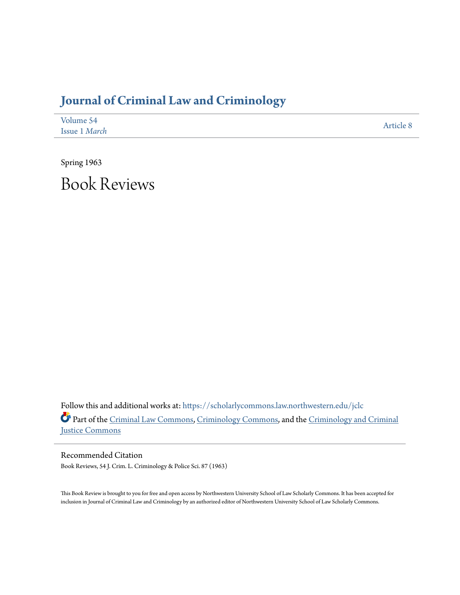## **[Journal of Criminal Law and Criminology](https://scholarlycommons.law.northwestern.edu/jclc?utm_source=scholarlycommons.law.northwestern.edu%2Fjclc%2Fvol54%2Fiss1%2F8&utm_medium=PDF&utm_campaign=PDFCoverPages)**

| Volume 54     | Article 8 |
|---------------|-----------|
| Issue 1 March |           |

Spring 1963 Book Reviews

Follow this and additional works at: [https://scholarlycommons.law.northwestern.edu/jclc](https://scholarlycommons.law.northwestern.edu/jclc?utm_source=scholarlycommons.law.northwestern.edu%2Fjclc%2Fvol54%2Fiss1%2F8&utm_medium=PDF&utm_campaign=PDFCoverPages) Part of the [Criminal Law Commons](http://network.bepress.com/hgg/discipline/912?utm_source=scholarlycommons.law.northwestern.edu%2Fjclc%2Fvol54%2Fiss1%2F8&utm_medium=PDF&utm_campaign=PDFCoverPages), [Criminology Commons](http://network.bepress.com/hgg/discipline/417?utm_source=scholarlycommons.law.northwestern.edu%2Fjclc%2Fvol54%2Fiss1%2F8&utm_medium=PDF&utm_campaign=PDFCoverPages), and the [Criminology and Criminal](http://network.bepress.com/hgg/discipline/367?utm_source=scholarlycommons.law.northwestern.edu%2Fjclc%2Fvol54%2Fiss1%2F8&utm_medium=PDF&utm_campaign=PDFCoverPages) [Justice Commons](http://network.bepress.com/hgg/discipline/367?utm_source=scholarlycommons.law.northwestern.edu%2Fjclc%2Fvol54%2Fiss1%2F8&utm_medium=PDF&utm_campaign=PDFCoverPages)

Recommended Citation Book Reviews, 54 J. Crim. L. Criminology & Police Sci. 87 (1963)

This Book Review is brought to you for free and open access by Northwestern University School of Law Scholarly Commons. It has been accepted for inclusion in Journal of Criminal Law and Criminology by an authorized editor of Northwestern University School of Law Scholarly Commons.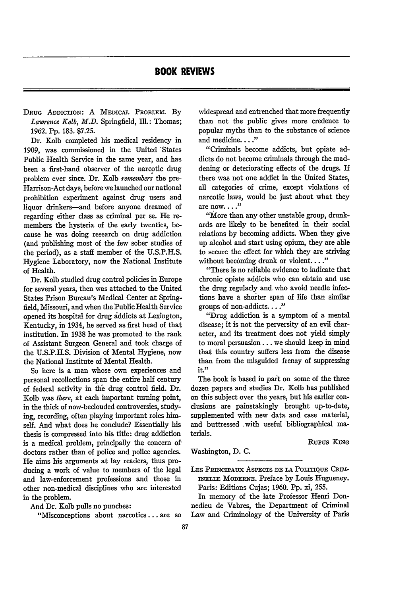## **BOOK REVIEWS**

DRUG ADDICTION: A **MEDICAL** PROBLEM. **By** *Lawrence Kolb, M.D.* Springfield, **Ill.:** Thomas; **1962. Pp.** 183. \$7.25.

Dr. Kolb completed his medical residency in **1909,** was commissioned in the United 'States Public Health Service in the same year, and has been a first-hand observer of the narcotic drug problem ever since. Dr. Kolb *remembers* the pre-Harrison-Act days, before we launched our national prohibition experiment against drug users and liquor drinkers-and before anyone dreamed of regarding either class as criminal per se. He remembers the hysteria of the early twenties, because he was doing research on drug addiction (and publishing most of the few sober studies of the period), as a staff member of the U.S.P.H.S. Hygiene Laboratory, now the National Institute of Health.

Dr. Kolb studied drug control policies in Europe for several years, then was attached to the United States Prison Bureau's Medical Center at Springfield, Missouri, and when the Public Health Service opened its hospital for drug iddicts at Lexington, Kentucky, in 1934, he served as first head of that institution. In 1938 he was promoted to the rank of Assistant Surgeon General and took charge of the U.S.P.H.S. Division of Mental Hygiene, now the National Institute of Mental Health.

So here is a man whose own experiences and personal recollections span the entire half century of federal activity in the drug control field. Dr. Kolb was *there,* at each important turning point, in the thick of now-beclouded controversies, studying, recording, often playing important roles himself. And what does he conclude? Essentially his thesis is compressed into his title: drug addiction is a medical problem, principally the concern of' doctors rather than of police and police agencies. He aims his arguments at lay readers, thus producing a work of value to members of the legal and law-enforcement professions and those in other non-medical disciplines who are interested in the problem.

And Dr. Kolb pulls no punches:

"Misconceptions about narcotics... are so

widespread and entrenched that more frequently than not the public gives more credence to popular myths than to the substance of science and medicine...."

"Criminals become addicts, but ppiate addicts do not become criminals through the maddening or deteriorating effects of the drugs. If there was not one addict in the United States, all categories of crime, except violations of narcotic laws, would be just about what they are **now...."**

"More than any other unstable group, drunkards are likely to be benefited in their social relations by becoming addicts. When they give up alcohol and start using opium, they are able to secure the effect for which they are striving without becoming drunk or violent...."

"There is no reliable evidence to indicate that chronic opiate addicts who can obtain and use the drug regularly and, who avoid needle infections have a shorter span of life than similar groups of non-addicts. . . ."

"Drug addiction is a symptom of a mental disease; it is not the perversity of an evil character, and its treatment does not yield simply to moral persuasion.., we should keep in mind that this country suffers less from the disease than from the misguided frenzy of suppressing it."

The book is based in part on some of the three dozen papers and studies Dr. Kolb has published on this subject over the years, but his earlier conclusions are painstakingly brought up-to-date, supplemented with new data and case material, and buttressed .with useful bibliographical materials.

RuFus KING

Washington, D. C.

LEs PRINclpAux AsPECTs **DE** LA POLITIQUE CRIM-INELLE MoDERNE. Preface **by** Louis Hugueney. Paris: Editions Cujas; 1960. **Pp.** xi, 255.

In memory of the late Professor Henri Donnedieu de Vabres, the Department of Criminal Law and Criminology of the University of Paris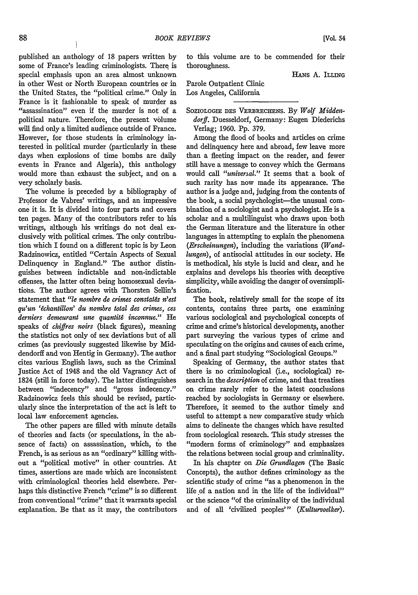[Vol. **54**

published an anthology of 18 papers written by some of France's leading criminologists. There is special emphasis upon an area almost unknown in other West or North European countries or in the United States, the "political crime." Only in France is it fashionable to speak of murder as "assassination" even if the murder is not of a political nature. Therefore, the present volume will find only a limited audience outside of France. However, for those students in criminology interested in political murder (particularly in these days when explosions of time bombs are daily events in France and Algeria), this anthology would more than exhaust the subject, and on a very scholarly basis.

The volume is preceded by a bibliography of Professor de Vabres' writings, and an impressive one it is. It is divided into four parts and covers ten pages. Many of the contributors refer to his writings, although his writings do not deal exclusively with political crimes. The only contribution which I found on a different topic is by Leon Radzinowicz, entitled "Certain Aspects of Sexual Delinquency in England." The author distinguishes between indictable and non-indictable offenses, the latter often being homosexual deviafiohs. The author agrees with Thorsten Sellin's statement that *"le nombre de crimes constats n'est qg'un 'echantillon' du nombre total des crimes, ces derniers demeurant une quantitg inconnue."* He speaks of *chiffres noirs* (black figures), meaning the statistics not only of sex deviations but of all crimes (as previously suggested likewise by Middendorff and von Hentig in Germany). The author cites various English laws, such as the Criminal Justice Act of 1948 and the old Vagrancy Act of 1824 (still in force today). The latter distinguishes between "indecency" and "gross indecency." Radzinowicz feels this should be revised, particularly since the interpretation of the act is left to local law enforcement agencies.

The other papers are filled with minute details of theories and facts (or speculations, in the absence of facts) on assassination, which, to the French, is as serious as an "ordinary" killing without a "political motive" in other countries. At times, assertions are made which are inconsistent with criminological theories held elsewhere. Perhaps this distinctive French "crime" is so different from conventional "crime" that it warrants special explanation. Be that as it may, the contributors to this volume are to be commended for their thoroughness.

HANs A. ILLING

Parole Outpatient Clinic Los Angeles, California

SOZIOLOGIE **DES** VERBRECHENS. By *Wof Middendorff.* Duesseldorf, Germany: Eugen Diederichs Verlag; 1960. Pp. 379.

Among the flood of books and articles on crime and delinquency here and abroad, few leave more than a fleeting impact on the reader, and fewer still have a message to convey which the Germans would call *"universal."* It seems that a book of such rarity has now made its appearance. The author is a judge and, judging.from the contents of the book, a social psychologist-the unusual combination of a sociologist and a psychologist. He is a scholar and a multilinguist who draws upon both the German literature and the literature in other languages in attempting to explain the phenomena *(Erscheinungen),* including the variations *(Wandlungen),* of antisocial attitudes in our society. He is methodical, his style is lucid and clear, and he explains and develops his theories with deceptive simplicity, while avoiding the danger of oversimplification.

The book, relatively small for the scope of its contents, contains three parts, one examining various sociological and psychological concepts of crime and crime's historical developments, another part surveying the various types of crime and speculating on the origins and causes of each crime, and a final part studying "Sociological Groups."

Speaking of Germany, the author states that there is no criminological (i.e., sociological) research in the *description* of crime, and that treatises on crime rarely refer to the latest conclusions reached by sociologists in Germany or elsewhere. Therefore, it seemed to the author timely and useful to attempt a new comparative study which aims to delineate the changes which have resulted from sociological research. This study stresses the "modern forms of criminology" and emphasizes the relations between social group and criminality.

In his chapter on *Die Grundlagen* (The Basic Concepts), the author defines criminology as the scientific study of crime "as a phenomenon in the life of a nation and in the life of the individual" or the science "of the criminality of the individual and of all 'civilized peoples"' *(Kalturvoelker).*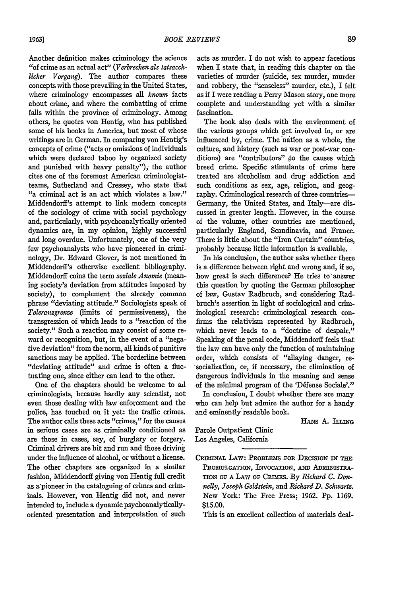Another definition makes criminology the science "of crime as an actual act" (Verbrechen *als tatsacchlicher Vorgang).* The author compares these concepts with those prevailing in the United States, where criminology encompasses all *known* facts about crime, and where the combatting of crime falls within the province of criminology. Among others, he quotes von Hentig, who has published some of his books in America, but most of whose writings are in German. In comparing von Hentig's concepts of crime ("acts or omissions of individuals which were declared taboo by organized society and punished with heavy penalty"), the author cites one of the foremost American criminologistteams, Sutherland and Cressey, who state that "a criminal act is an act which violates a law." Middendorif's attempt to link modem concepts of the sociology of crime with social psychology and, particularly, with psychoanalytically oriented dynamics are, in my opinion, highly successful and long overdue. Unfortunately, one of the very few psychoanalysts who have pioneered in criminology, Dr. Edward Glover, is not mentioned in Middendorif's otherwise excellent bibliography. Middendorif coins the term *soziale Anomie* (meaning society's deviation from attitudes imposed by society), to complement the already common phrase "deviating attitude." Sociologists speak of *Toleranzgrenze* (limits of permissiveness), the transgression of which leads to a "reaction of the society." Such a reaction may consist of some reward or recognition, but, in the event of a "negative deviation" from the norm, all kinds of punitive sanctions may be applied. The borderline between "deviating attitude" and crime is often a fluctuating one, since either can lead to the other.

One of the chapters should be welcome to ad criminologists, because hardly any scientist, not even those dealing with law enforcement and the police, has touched on it yet: the traffic crimes. The author calls these acts "crimes," for the causes in serious cases are as criminally conditioned as are those in cases, say, of burglary or forgery. Criminal drivers are hit and run and those driving under the influence of alcohol, or without a license. The other chapters are organized in a similar fashion, Middendorff giving von Hentig full credit as a'pioneer in the cataloguing of crimes and criminals. However, von Hentig did not, and never intended to, include a dynamic psychoanalyticallyoriented presentation and interpretation of such

acts as murder. I do not wish to appear facetious when I state that, in reading this chapter on the varieties of murder (suicide, sex murder, murder and robbery, the "senseless" murder, etc.), I felt as if I were reading a Perry Mason story, one more complete and understanding yet with a similar fascination.

The book also deals with the environment of the various groups which get involved in, or are influenced by, crime. The nation as a whole, the culture, and history (such as war or post-war conditions) are "contributors" *jo* the causes which breed crime. Specific stimulants of crime here treated are alcoholism and drug addiction and such conditions as sex, age, religion, and geography. Criminological research of three countries-Germany, the United States, and Italy-are discussed in greater length. However, in the course of the volume, other countries are mentioned, particularly England, Scandinavia, and France. There is little about the "Iron Curtain" countries, probably because little information is available.

In his conclusion, the author asks whether there is a difference between right and wrong and, if so, how great is such difference? He tries to-answer this question by quoting the German philosopher of law, Gustav Radbruch, and considering Radbruch's assertion in light of sociological and criminological research: criminological research confirms the relativism represented by Radbruch, which never leads to a "doctrine of despair." Speaking of the penal code, Middendorff feels that the law can have only the function of maintaining order, which consists of "allaying danger, re- socialization, or, if necessary, the elimination of dangerous individuals in the meaning and sense of the minimal program of the 'Défense Sociale'."

In conclusion, I doubt whether there are many who can help but admire the author for a handy and eminently readable book.

HANS A. **ILTNG**

Parole Outpatient Clinic Los Angeles, California

This is an excellent collection of materials deal-

**CniNAL** LAW: PRoBLEms **FOR DECISION** IN **TE PROmOLGATION, INVOCATION, AND ADmINISTRA-**TION **OF A** LAW **OF CnRs.** By *Richard C. Donnelly, Joseph Goldstein,* and *Richard D. Schwartz.* New York: The Free Press; 1962. Pp. 1169. \$15.00.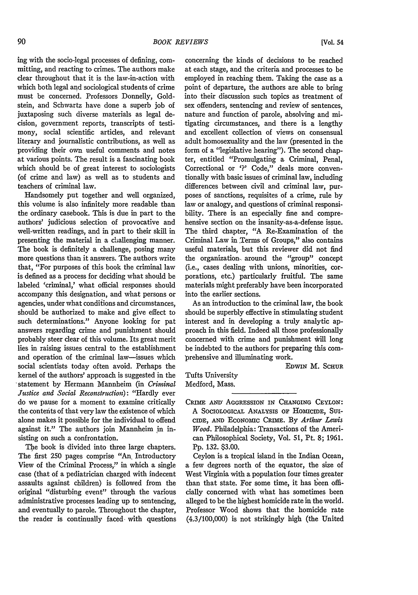ing with the socio-legal processes of defining, committing, and reacting to crimes. The authors make clear throughout that it is the law-in-action with which both legal and sociological students of crime must be concerned. Professors Donnelly, Goldstein, and Schwartz have done a superb **job** of juxtaposing such diverse materials as legal decision, government reports, transcripts of testimony, social scientific articles, and relevant literary and journalistic contributions, as well as providing their own useful comments and notes at various points. The result is a fascinating book which should be of great interest to sociologists (of crime and law) as well as to students and teachers of criminal law.

Handsomely put together and well organized, this volume is also infinitely more readable than the ordinary casebook. This is due in part to the authors' judicious selection of provocative and well-written readings, and in part to their skill in presenting the material in a challenging manner. The book is definitely a challenge, posing many more questions than it answers. The authors write that, "For purposes of this book the criminal law is defined as a process for deciding what should be labeled 'criminal,' what official responses should accompany this designation, and what persons or agencies, under what condifions and circumstances, should be authorized to make and give effect to such determinations." Anyone looking for pat answers regarding crime and punishment should probably steer clear of this volume. Its great merit lies in raising issues central to the establishment and operation of the criminal law-issues which social scientists today often avoid. Perhaps the kernel of the authors' approach is suggested in the 'statement by Hermann Mannheim (in *Criminal Justice and Social Reconstruction):* "Hardly ever do we pause for a moment to examine critically the contents of that very law the existence of which alone makes it possible for the individual to offend against it." The authors join Mannheim in insisting on such a confrontation.

The book is divided into three large chapters. The first 250 pages comprise "An- Introductory View of the Criminal Process,?' in which a single case (that of a pediatrician charged with indecent assaults against children) is followed from the original "disturbing event" through the various administrative processes leading up to sentencing, and eventually to parole. Throughout the chapter, the reader is continually faced with questions

concerning the kinds of decisions to be reached at each stage, and the criteria and processes to be employed in reaching them. Taking the case as a point of departure, the authors are able to bring into their discussion such topics as treatment of sex offenders, sentencing and review of sentences, nature and function of parole, absolving and mitigating circumstances, and there is a lengthy and excellent collection of views on consensual adult homosexuality and the law (presented in the form of a "legislative hearing"). The second chapter, entitled "Promulgating a Criminal, Penal, Correctional or *'?'* Code," deals more conventionally with basic issues of criminal law, including differences between civil and criminal law, purposes of sanctions, requisites of a crime, rule by law or analogy, and questions of criminal responsibility. There is an especially fine and comprehensive section on the insanity-as-a-defense issue. The third chapter, "A Re-Examination of the Criminal Law in Terms of Groups," also contains useful materials, but this reviewer did not find the organization around the "group" concept (i.e., cases dealing with unions, minorities, corporations, etc.) particularly fruitful. The same materials might preferably have been incorporated into the earlier sections.

As an introduction to the criminal law, the book should be superbly effective in stimulating student interest and in developing a truly analytic approach in this field. Indeed all those professionally concerned with crime and punishment will long be indebted to the authors for preparing this comprehensive and illuminating work.

EDWIN M. SCHUR

Tufts University Medford, Mass.

Ceylon is a tropical island in the Indian Ocean, a few degrees north of the equator, the size of West Virginia with a population four times greater than that state. For some time, it has been officially concerned with what has sometimes been alleged to be the highest homicide rate in the world. Professor Wood shows that the homicide rate (4.3/100,000) is not strikingly high (the United

CRIME AND **AGGRESSION IN CHANGING CEYLON:** A SOCIOLOGICAL ANALYSIS OF HOMICIDE, SUI-**CME, AND** EcoNomc CRam. By *Arthur Lewis Wood.* Philadelphia: Transactions of the American Philosophical Society, Vol. 51, Pt. **8;** 1961. Pp. 132. \$3.00.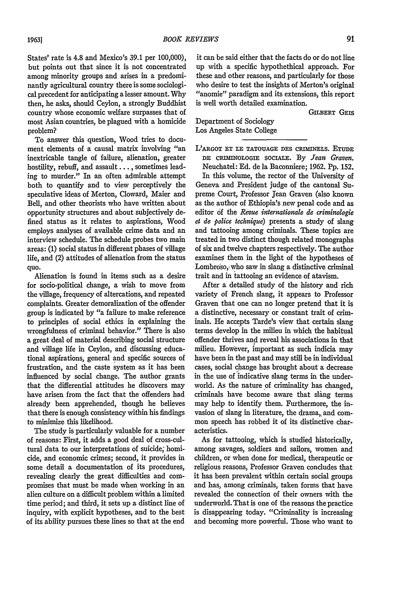States' rate is 4.8 and Mexico's 39.1 per 100,000), but points out that since it is not concentrated among minority groups and arises in a predominantly agricultural country there is some sociological precedent for anticipating a lesser amount. Why then, he asks, should Ceylon, a strongly Buddhist country whose economic welfare surpasses that of most Asian countries, be plagued with a homicide problem?

To answer this question, Wood tries to document elements of a causal matrix involving "an inextricable tangle of failure, alienation, greater hostility, rebuff, and assault..., sometimes leading to murder." In an often admirable attempt both to quantify and to view perceptively the speculative ideas of Merton, Cloward, Maier and Bell, and other theorists who have written about opportunity structures and about subjectively defined status as it relates to aspirations, Wood employs analyses of available crime data and an interview schedule. The schedule probes two main areas: (1) social status in different phases of village life, and (2) attitudes of alienation from the status quo.

Alienation is found in items such as a desire for socio-political change, a wish to move from the village, frequency of altercations, and repeated complaints. Greater demoralization of the offender group is indicated by "a failure to make reference to principles of social ethics in explaining the wrongfulness of criminal behavior." There is also a great deal of material describing social structure and village life in Ceylon, and discussing educational aspirations, general and specific sources of frustration, and the caste system as it has been influenced by social change. The author grants that the differential attitudes he discovers may have arisen from the fact that the offenders had already been apprehended, though he believes that there is enough consistency within his findings to minimize this likelihood.

The study is particularly valuable for a number of reasons: First, it adds a good deal of cross-cultural data to our interpretations of suicide; homicide, and economic crimes; second, it provides in some detail a documentation of its procedures, revealing dearly the great difficulties and compromises that must be made when working in an alien culture on a difficult problem within a limited time period; and third, it sets up a distinct line of inquiry, with explicit hypotheses, and to the best of its ability pursues these lines so that at the end

it can be said either that the facts do or do not line up with a specific hypothethical approach. For these and other reasons, and particularly for those who desire to test the insights of Merton's original "anomie" paradigm and its extensions, this report is well worth detailed examination.

**GILBERT GEis**

Department of Sociology Los Angeles State College

**L'ARGOT ET LE TATOUAGE DES CRIMINELS. ETUDE** DE CRIMINOLOGIE SOCIALE. By *Jean Graven.* Neuchatel: **Ed.** de la Baconniere; **1962.** Pp. 152.

In this volume, the rector of the University of Geneva and President judge of the cantonal Supreme Court, Professor Jean Graven (also known as the author of Ethiopia's new penal code and as editor **6f** the *Revue internationale de criminologie et de police technique)* presents a study of slang and tattooing among criminals. These topics are treated in two distinct though related monographs of six and twelve chapters respectively. The author examines them in the light of the hypotheses of Lombroso, who saw in slang a distinctive criminal trait and in tattooing an evidence of atavism.

**After** a detailed study of the history and rich variety of French slang, it appears to Professor Graven that one can no longer pretend that it is a distinctive, necessary or constant trait of criminals. He accepts Tarde's view that certain slang terms develop in the milieu in which the habitual offender thrives and reveal his associations in that milieu. However, important as such indicia may have been in the past and may still be in individual cases, social change has brought about a decrease in the use of indicative slang terms in the underworld. As the nature of criminality has changed, criminals have become aware that slang terms may help to identify them. Furthermore, the invasion of slang in literature, the drama,, and common speech has robbed it of its distinctive characteristics.

As for tattooing, which is studied historically, among savages, soldiers and sailors, women and children, or when done for medical, therapeutic or religious reasons, Professor Graven concludes that it has been prevalent within certain social groups and has, among criminals, taken forms that have revealed the connection of their owners with the underworld. That is one of the reasons the practice is disappearing today. "Criminality is increasing and becoming more powerful. Those who want to